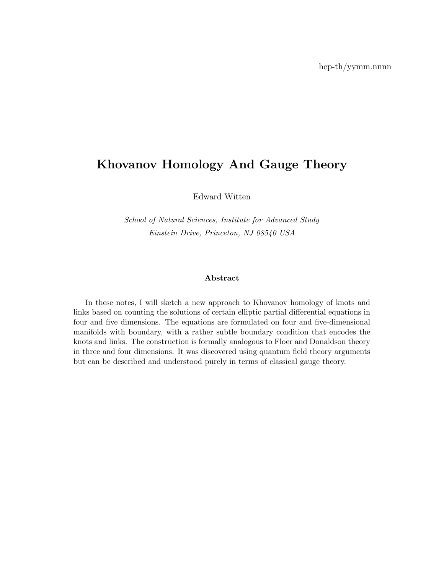# Khovanov Homology And Gauge Theory

Edward Witten

School of Natural Sciences, Institute for Advanced Study Einstein Drive, Princeton, NJ 08540 USA

#### Abstract

In these notes, I will sketch a new approach to Khovanov homology of knots and links based on counting the solutions of certain elliptic partial differential equations in four and five dimensions. The equations are formulated on four and five-dimensional manifolds with boundary, with a rather subtle boundary condition that encodes the knots and links. The construction is formally analogous to Floer and Donaldson theory in three and four dimensions. It was discovered using quantum field theory arguments but can be described and understood purely in terms of classical gauge theory.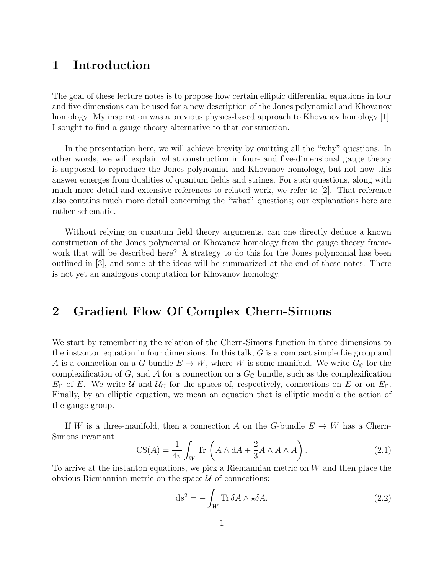# 1 Introduction

The goal of these lecture notes is to propose how certain elliptic differential equations in four and five dimensions can be used for a new description of the Jones polynomial and Khovanov homology. My inspiration was a previous physics-based approach to Khovanov homology [1]. I sought to find a gauge theory alternative to that construction.

In the presentation here, we will achieve brevity by omitting all the "why" questions. In other words, we will explain what construction in four- and five-dimensional gauge theory is supposed to reproduce the Jones polynomial and Khovanov homology, but not how this answer emerges from dualities of quantum fields and strings. For such questions, along with much more detail and extensive references to related work, we refer to [2]. That reference also contains much more detail concerning the "what" questions; our explanations here are rather schematic.

Without relying on quantum field theory arguments, can one directly deduce a known construction of the Jones polynomial or Khovanov homology from the gauge theory framework that will be described here? A strategy to do this for the Jones polynomial has been outlined in [3], and some of the ideas will be summarized at the end of these notes. There is not yet an analogous computation for Khovanov homology.

# 2 Gradient Flow Of Complex Chern-Simons

We start by remembering the relation of the Chern-Simons function in three dimensions to the instanton equation in four dimensions. In this talk, G is a compact simple Lie group and A is a connection on a G-bundle  $E \to W$ , where W is some manifold. We write  $G_{\mathbb{C}}$  for the complexification of G, and A for a connection on a  $G_{\mathbb{C}}$  bundle, such as the complexification  $E_{\mathbb{C}}$  of E. We write U and  $U_C$  for the spaces of, respectively, connections on E or on  $E_{\mathbb{C}}$ . Finally, by an elliptic equation, we mean an equation that is elliptic modulo the action of the gauge group.

If W is a three-manifold, then a connection A on the G-bundle  $E \to W$  has a Chern-Simons invariant

$$
CS(A) = \frac{1}{4\pi} \int_W \text{Tr}\left(A \wedge dA + \frac{2}{3} A \wedge A \wedge A\right). \tag{2.1}
$$

To arrive at the instanton equations, we pick a Riemannian metric on W and then place the obvious Riemannian metric on the space  $\mathcal U$  of connections:

$$
ds^{2} = -\int_{W} \text{Tr} \,\delta A \wedge \star \delta A. \tag{2.2}
$$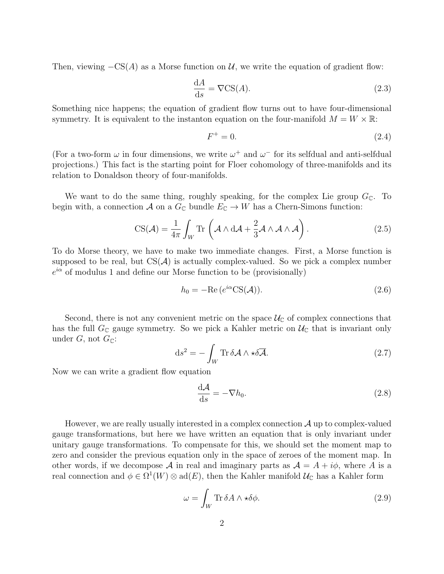Then, viewing  $-CS(A)$  as a Morse function on U, we write the equation of gradient flow:

$$
\frac{\mathrm{d}A}{\mathrm{d}s} = \nabla\mathrm{CS}(A). \tag{2.3}
$$

Something nice happens; the equation of gradient flow turns out to have four-dimensional symmetry. It is equivalent to the instanton equation on the four-manifold  $M = W \times \mathbb{R}$ :

$$
F^+ = 0.\tag{2.4}
$$

(For a two-form  $\omega$  in four dimensions, we write  $\omega^+$  and  $\omega^-$  for its selfdual and anti-selfdual projections.) This fact is the starting point for Floer cohomology of three-manifolds and its relation to Donaldson theory of four-manifolds.

We want to do the same thing, roughly speaking, for the complex Lie group  $G_{\mathbb{C}}$ . To begin with, a connection A on a  $G_{\mathbb{C}}$  bundle  $E_{\mathbb{C}} \to W$  has a Chern-Simons function:

$$
CS(\mathcal{A}) = \frac{1}{4\pi} \int_W \text{Tr}\left(\mathcal{A} \wedge d\mathcal{A} + \frac{2}{3}\mathcal{A} \wedge \mathcal{A} \wedge \mathcal{A}\right).
$$
 (2.5)

To do Morse theory, we have to make two immediate changes. First, a Morse function is supposed to be real, but  $CS(\mathcal{A})$  is actually complex-valued. So we pick a complex number  $e^{i\alpha}$  of modulus 1 and define our Morse function to be (provisionally)

$$
h_0 = -\text{Re}\left(e^{i\alpha}\text{CS}(\mathcal{A})\right). \tag{2.6}
$$

Second, there is not any convenient metric on the space  $\mathcal{U}_{\mathbb{C}}$  of complex connections that has the full  $G_{\mathbb{C}}$  gauge symmetry. So we pick a Kahler metric on  $\mathcal{U}_{\mathbb{C}}$  that is invariant only under G, not  $G_{\mathbb{C}}$ :

$$
ds^{2} = -\int_{W} \text{Tr} \,\delta \mathcal{A} \wedge \star \delta \overline{\mathcal{A}}.
$$
 (2.7)

Now we can write a gradient flow equation

$$
\frac{\mathrm{d}\mathcal{A}}{\mathrm{d}s} = -\nabla h_0. \tag{2.8}
$$

However, we are really usually interested in a complex connection  $\mathcal A$  up to complex-valued gauge transformations, but here we have written an equation that is only invariant under unitary gauge transformations. To compensate for this, we should set the moment map to zero and consider the previous equation only in the space of zeroes of the moment map. In other words, if we decompose A in real and imaginary parts as  $A = A + i\phi$ , where A is a real connection and  $\phi \in \Omega^1(W) \otimes \text{ad}(E)$ , then the Kahler manifold  $\mathcal{U}_{\mathbb{C}}$  has a Kahler form

$$
\omega = \int_{W} \text{Tr} \,\delta A \wedge \star \delta \phi. \tag{2.9}
$$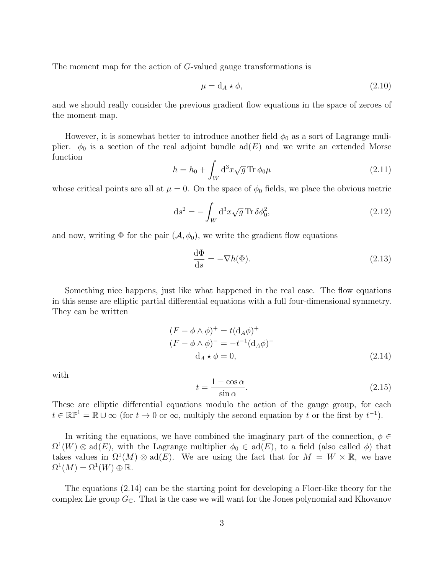The moment map for the action of G-valued gauge transformations is

$$
\mu = d_A \star \phi,\tag{2.10}
$$

and we should really consider the previous gradient flow equations in the space of zeroes of the moment map.

However, it is somewhat better to introduce another field  $\phi_0$  as a sort of Lagrange muliplier.  $\phi_0$  is a section of the real adjoint bundle ad(E) and we write an extended Morse function

$$
h = h_0 + \int_W \mathrm{d}^3 x \sqrt{g} \, \mathrm{Tr} \, \phi_0 \mu \tag{2.11}
$$

whose critical points are all at  $\mu = 0$ . On the space of  $\phi_0$  fields, we place the obvious metric

$$
\mathrm{d}s^2 = -\int_W \mathrm{d}^3x \sqrt{g} \operatorname{Tr}\delta\phi_0^2,\tag{2.12}
$$

and now, writing  $\Phi$  for the pair  $(\mathcal{A}, \phi_0)$ , we write the gradient flow equations

$$
\frac{\mathrm{d}\Phi}{\mathrm{d}s} = -\nabla h(\Phi). \tag{2.13}
$$

Something nice happens, just like what happened in the real case. The flow equations in this sense are elliptic partial differential equations with a full four-dimensional symmetry. They can be written

$$
(F - \phi \wedge \phi)^{+} = t(\mathbf{d}_{A}\phi)^{+}
$$
  
\n
$$
(F - \phi \wedge \phi)^{-} = -t^{-1}(\mathbf{d}_{A}\phi)^{-}
$$
  
\n
$$
\mathbf{d}_{A} \star \phi = 0,
$$
\n(2.14)

with

$$
t = \frac{1 - \cos \alpha}{\sin \alpha}.
$$
 (2.15)

These are elliptic differential equations modulo the action of the gauge group, for each  $t \in \mathbb{RP}^1 = \mathbb{R} \cup \infty$  (for  $t \to 0$  or  $\infty$ , multiply the second equation by t or the first by  $t^{-1}$ ).

In writing the equations, we have combined the imaginary part of the connection,  $\phi \in$  $\Omega^1(W) \otimes \text{ad}(E)$ , with the Lagrange multiplier  $\phi_0 \in \text{ad}(E)$ , to a field (also called  $\phi$ ) that takes values in  $\Omega^1(M) \otimes \text{ad}(E)$ . We are using the fact that for  $M = W \times \mathbb{R}$ , we have  $\Omega^1(M) = \Omega^1(W) \oplus \mathbb{R}.$ 

The equations (2.14) can be the starting point for developing a Floer-like theory for the complex Lie group  $G_{\mathbb{C}}$ . That is the case we will want for the Jones polynomial and Khovanov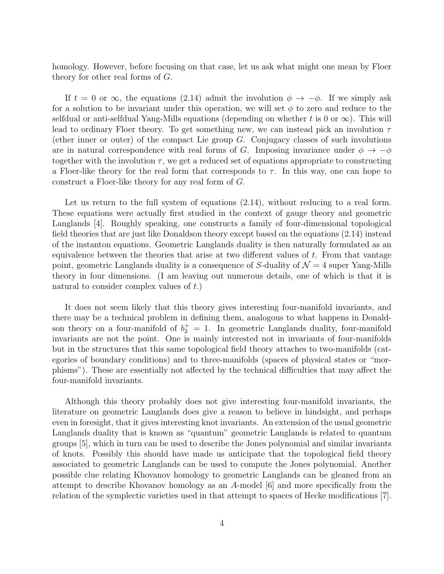homology. However, before focusing on that case, let us ask what might one mean by Floer theory for other real forms of G.

If  $t = 0$  or  $\infty$ , the equations (2.14) admit the involution  $\phi \to -\phi$ . If we simply ask for a solution to be invariant under this operation, we will set  $\phi$  to zero and reduce to the selfdual or anti-selfdual Yang-Mills equations (depending on whether t is 0 or  $\infty$ ). This will lead to ordinary Floer theory. To get something new, we can instead pick an involution  $\tau$ (ether inner or outer) of the compact Lie group  $G$ . Conjugacy classes of such involutions are in natural correspondence with real forms of G. Imposing invariance under  $\phi \to -\phi$ together with the involution  $\tau$ , we get a reduced set of equations appropriate to constructing a Floer-like theory for the real form that corresponds to  $\tau$ . In this way, one can hope to construct a Floer-like theory for any real form of G.

Let us return to the full system of equations  $(2.14)$ , without reducing to a real form. These equations were actually first studied in the context of gauge theory and geometric Langlands [4]. Roughly speaking, one constructs a family of four-dimensional topological field theories that are just like Donaldson theory except based on the equations (2.14) instead of the instanton equations. Geometric Langlands duality is then naturally formulated as an equivalence between the theories that arise at two different values of  $t$ . From that vantage point, geometric Langlands duality is a consequence of S-duality of  $\mathcal{N}=4$  super Yang-Mills theory in four dimensions. (I am leaving out numerous details, one of which is that it is natural to consider complex values of  $t$ .)

It does not seem likely that this theory gives interesting four-manifold invariants, and there may be a technical problem in defining them, analogous to what happens in Donaldson theory on a four-manifold of  $b_2^+=1$ . In geometric Langlands duality, four-manifold invariants are not the point. One is mainly interested not in invariants of four-manifolds but in the structures that this same topological field theory attaches to two-manifolds (categories of boundary conditions) and to three-manifolds (spaces of physical states or "morphisms"). These are essentially not affected by the technical difficulties that may affect the four-manifold invariants.

Although this theory probably does not give interesting four-manifold invariants, the literature on geometric Langlands does give a reason to believe in hindsight, and perhaps even in foresight, that it gives interesting knot invariants. An extension of the usual geometric Langlands duality that is known as "quantum" geometric Langlands is related to quantum groups [5], which in turn can be used to describe the Jones polynomial and similar invariants of knots. Possibly this should have made us anticipate that the topological field theory associated to geometric Langlands can be used to compute the Jones polynomial. Another possible clue relating Khovanov homology to geometric Langlands can be gleaned from an attempt to describe Khovanov homology as an A-model [6] and more specifically from the relation of the symplectic varieties used in that attempt to spaces of Hecke modifications [7].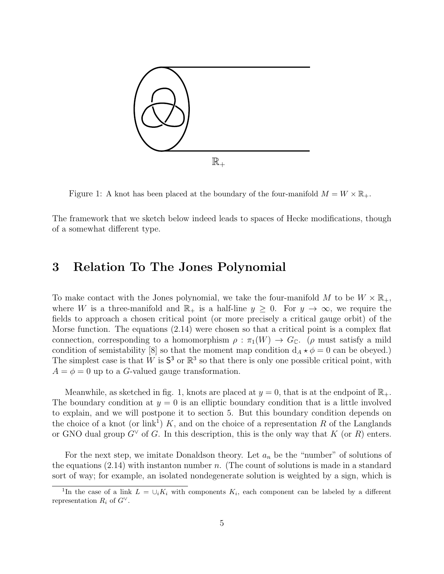

Figure 1: A knot has been placed at the boundary of the four-manifold  $M = W \times \mathbb{R}_+$ .

The framework that we sketch below indeed leads to spaces of Hecke modifications, though of a somewhat different type.

## 3 Relation To The Jones Polynomial

To make contact with the Jones polynomial, we take the four-manifold M to be  $W \times \mathbb{R}_+$ , where W is a three-manifold and  $\mathbb{R}_+$  is a half-line  $y \geq 0$ . For  $y \to \infty$ , we require the fields to approach a chosen critical point (or more precisely a critical gauge orbit) of the Morse function. The equations (2.14) were chosen so that a critical point is a complex flat connection, corresponding to a homomorphism  $\rho : \pi_1(W) \to G_{\mathbb{C}}$ . ( $\rho$  must satisfy a mild condition of semistability [8] so that the moment map condition  $d_A \star \phi = 0$  can be obeyed.) The simplest case is that W is  $S^3$  or  $\mathbb{R}^3$  so that there is only one possible critical point, with  $A = \phi = 0$  up to a G-valued gauge transformation.

Meanwhile, as sketched in fig. 1, knots are placed at  $y = 0$ , that is at the endpoint of  $\mathbb{R}_+$ . The boundary condition at  $y = 0$  is an elliptic boundary condition that is a little involved to explain, and we will postpone it to section 5. But this boundary condition depends on the choice of a knot (or link<sup>1</sup>) K, and on the choice of a representation R of the Langlands or GNO dual group  $G^{\vee}$  of G. In this description, this is the only way that K (or R) enters.

For the next step, we imitate Donaldson theory. Let  $a_n$  be the "number" of solutions of the equations  $(2.14)$  with instanton number n. (The count of solutions is made in a standard sort of way; for example, an isolated nondegenerate solution is weighted by a sign, which is

<sup>&</sup>lt;sup>1</sup>In the case of a link  $L = \bigcup_i K_i$  with components  $K_i$ , each component can be labeled by a different representation  $R_i$  of  $G^{\vee}$ .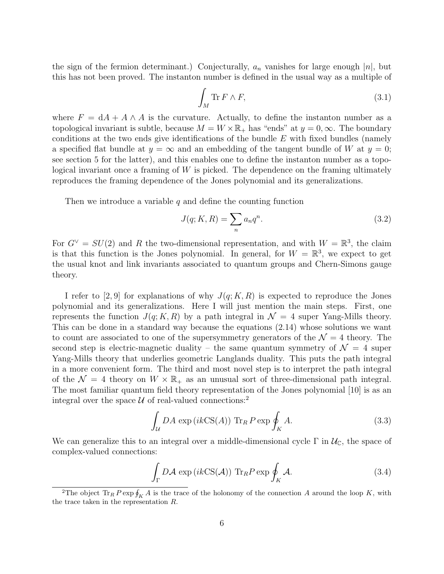the sign of the fermion determinant.) Conjecturally,  $a_n$  vanishes for large enough |n|, but this has not been proved. The instanton number is defined in the usual way as a multiple of

$$
\int_M \text{Tr}\, F \wedge F,\tag{3.1}
$$

where  $F = dA + A \wedge A$  is the curvature. Actually, to define the instanton number as a topological invariant is subtle, because  $M = W \times \mathbb{R}_+$  has "ends" at  $y = 0, \infty$ . The boundary conditions at the two ends give identifications of the bundle  $E$  with fixed bundles (namely a specified flat bundle at  $y = \infty$  and an embedding of the tangent bundle of W at  $y = 0$ ; see section 5 for the latter), and this enables one to define the instanton number as a topological invariant once a framing of W is picked. The dependence on the framing ultimately reproduces the framing dependence of the Jones polynomial and its generalizations.

Then we introduce a variable q and define the counting function

$$
J(q; K, R) = \sum_{n} a_n q^n.
$$
\n
$$
(3.2)
$$

For  $G^{\vee} = SU(2)$  and R the two-dimensional representation, and with  $W = \mathbb{R}^{3}$ , the claim is that this function is the Jones polynomial. In general, for  $W = \mathbb{R}^3$ , we expect to get the usual knot and link invariants associated to quantum groups and Chern-Simons gauge theory.

I refer to [2, 9] for explanations of why  $J(q; K, R)$  is expected to reproduce the Jones polynomial and its generalizations. Here I will just mention the main steps. First, one represents the function  $J(q; K, R)$  by a path integral in  $\mathcal{N} = 4$  super Yang-Mills theory. This can be done in a standard way because the equations (2.14) whose solutions we want to count are associated to one of the supersymmetry generators of the  $\mathcal{N}=4$  theory. The second step is electric-magnetic duality – the same quantum symmetry of  $\mathcal{N} = 4$  super Yang-Mills theory that underlies geometric Langlands duality. This puts the path integral in a more convenient form. The third and most novel step is to interpret the path integral of the  $\mathcal{N} = 4$  theory on  $W \times \mathbb{R}_+$  as an unusual sort of three-dimensional path integral. The most familiar quantum field theory representation of the Jones polynomial [10] is as an integral over the space  $U$  of real-valued connections:<sup>2</sup>

$$
\int_{\mathcal{U}} DA \exp\left(ik \text{CS}(A)\right) \text{Tr}_R P \exp \oint_K A. \tag{3.3}
$$

We can generalize this to an integral over a middle-dimensional cycle  $\Gamma$  in  $\mathcal{U}_{\mathbb{C}}$ , the space of complex-valued connections:

$$
\int_{\Gamma} D\mathcal{A} \exp\left(ik\mathcal{C}\mathcal{S}(\mathcal{A})\right) \operatorname{Tr}_{R} P \exp \oint_{K} \mathcal{A}.
$$
\n(3.4)

<sup>&</sup>lt;sup>2</sup>The object  $\text{Tr}_R P \exp \oint_K A$  is the trace of the holonomy of the connection A around the loop K, with the trace taken in the representation R.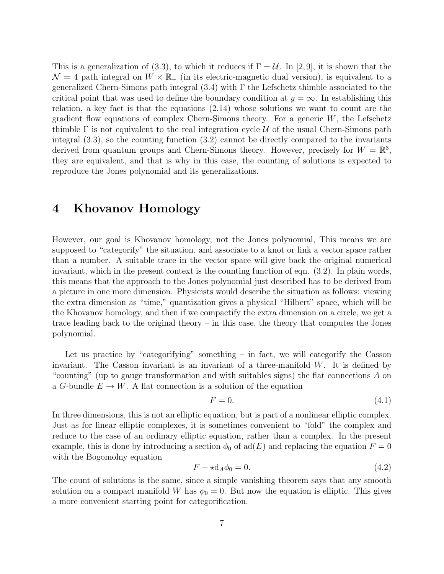This is a generalization of (3.3), to which it reduces if  $\Gamma = \mathcal{U}$ . In [2,9], it is shown that the  $\mathcal{N}=4$  path integral on  $W \times \mathbb{R}_+$  (in its electric-magnetic dual version), is equivalent to a generalized Chern-Simons path integral  $(3.4)$  with  $\Gamma$  the Lefschetz thimble associated to the critical point that was used to define the boundary condition at  $y = \infty$ . In establishing this relation, a key fact is that the equations (2.14) whose solutions we want to count are the gradient flow equations of complex Chern-Simons theory. For a generic  $W$ , the Lefschetz thimble  $\Gamma$  is not equivalent to the real integration cycle U of the usual Chern-Simons path integral (3.3), so the counting function (3.2) cannot be directly compared to the invariants derived from quantum groups and Chern-Simons theory. However, precisely for  $W = \mathbb{R}^3$ , they are equivalent, and that is why in this case, the counting of solutions is expected to reproduce the Jones polynomial and its generalizations.

## 4 Khovanov Homology

However, our goal is Khovanov homology, not the Jones polynomial, This means we are supposed to "categorify" the situation, and associate to a knot or link a vector space rather than a number. A suitable trace in the vector space will give back the original numerical invariant, which in the present context is the counting function of eqn. (3.2). In plain words, this means that the approach to the Jones polynomial just described has to be derived from a picture in one more dimension. Physicists would describe the situation as follows: viewing the extra dimension as "time," quantization gives a physical "Hilbert" space, which will be the Khovanov homology, and then if we compactify the extra dimension on a circle, we get a trace leading back to the original theory – in this case, the theory that computes the Jones polynomial.

Let us practice by "categorifying" something – in fact, we will categorify the Casson invariant. The Casson invariant is an invariant of a three-manifold  $W$ . It is defined by "counting" (up to gauge transformation and with suitables signs) the flat connections A on a G-bundle  $E \to W$ . A flat connection is a solution of the equation

$$
F = 0.\t\t(4.1)
$$

In three dimensions, this is not an elliptic equation, but is part of a nonlinear elliptic complex. Just as for linear elliptic complexes, it is sometimes convenient to "fold" the complex and reduce to the case of an ordinary elliptic equation, rather than a complex. In the present example, this is done by introducing a section  $\phi_0$  of ad(E) and replacing the equation  $F = 0$ with the Bogomolny equation

$$
F + \star d_A \phi_0 = 0. \tag{4.2}
$$

The count of solutions is the same, since a simple vanishing theorem says that any smooth solution on a compact manifold W has  $\phi_0 = 0$ . But now the equation is elliptic. This gives a more convenient starting point for categorification.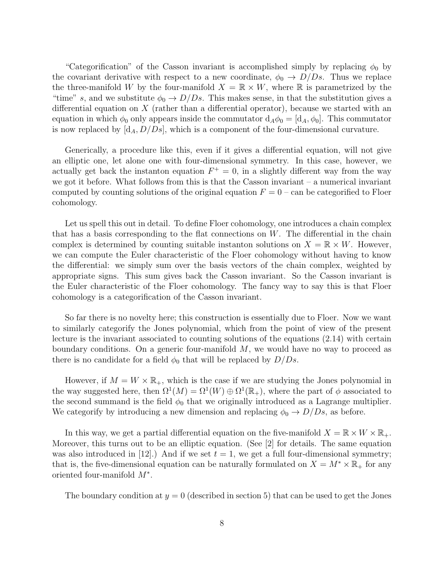"Categorification" of the Casson invariant is accomplished simply by replacing  $\phi_0$  by the covariant derivative with respect to a new coordinate,  $\phi_0 \rightarrow D/Ds$ . Thus we replace the three-manifold W by the four-manifold  $X = \mathbb{R} \times W$ , where  $\mathbb{R}$  is parametrized by the "time" s, and we substitute  $\phi_0 \rightarrow D/Ds$ . This makes sense, in that the substitution gives a differential equation on  $X$  (rather than a differential operator), because we started with an equation in which  $\phi_0$  only appears inside the commutator  $d_A\phi_0 = [d_A, \phi_0]$ . This commutator is now replaced by  $[d_A, D/Ds]$ , which is a component of the four-dimensional curvature.

Generically, a procedure like this, even if it gives a differential equation, will not give an elliptic one, let alone one with four-dimensional symmetry. In this case, however, we actually get back the instanton equation  $F^+ = 0$ , in a slightly different way from the way we got it before. What follows from this is that the Casson invariant – a numerical invariant computed by counting solutions of the original equation  $F = 0$  – can be categorified to Floer cohomology.

Let us spell this out in detail. To define Floer cohomology, one introduces a chain complex that has a basis corresponding to the flat connections on  $W$ . The differential in the chain complex is determined by counting suitable instanton solutions on  $X = \mathbb{R} \times W$ . However, we can compute the Euler characteristic of the Floer cohomology without having to know the differential: we simply sum over the basis vectors of the chain complex, weighted by appropriate signs. This sum gives back the Casson invariant. So the Casson invariant is the Euler characteristic of the Floer cohomology. The fancy way to say this is that Floer cohomology is a categorification of the Casson invariant.

So far there is no novelty here; this construction is essentially due to Floer. Now we want to similarly categorify the Jones polynomial, which from the point of view of the present lecture is the invariant associated to counting solutions of the equations (2.14) with certain boundary conditions. On a generic four-manifold  $M$ , we would have no way to proceed as there is no candidate for a field  $\phi_0$  that will be replaced by  $D/Ds$ .

However, if  $M = W \times \mathbb{R}_+$ , which is the case if we are studying the Jones polynomial in the way suggested here, then  $\Omega^1(M) = \Omega^1(W) \oplus \Omega^1(\mathbb{R}_+)$ , where the part of  $\phi$  associated to the second summand is the field  $\phi_0$  that we originally introduced as a Lagrange multiplier. We categorify by introducing a new dimension and replacing  $\phi_0 \rightarrow D/Ds$ , as before.

In this way, we get a partial differential equation on the five-manifold  $X = \mathbb{R} \times W \times \mathbb{R}_{+}$ . Moreover, this turns out to be an elliptic equation. (See [2] for details. The same equation was also introduced in [12].) And if we set  $t = 1$ , we get a full four-dimensional symmetry; that is, the five-dimensional equation can be naturally formulated on  $X = M^* \times \mathbb{R}_+$  for any oriented four-manifold  $M^*$ .

The boundary condition at  $y = 0$  (described in section 5) that can be used to get the Jones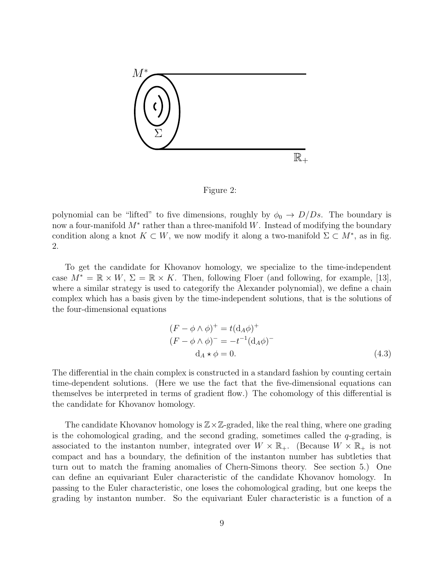

Figure 2:

polynomial can be "lifted" to five dimensions, roughly by  $\phi_0 \rightarrow D/Ds$ . The boundary is now a four-manifold  $M^*$  rather than a three-manifold W. Instead of modifying the boundary condition along a knot  $K \subset W$ , we now modify it along a two-manifold  $\Sigma \subset M^*$ , as in fig. 2.

To get the candidate for Khovanov homology, we specialize to the time-independent case  $M^* = \mathbb{R} \times W$ ,  $\Sigma = \mathbb{R} \times K$ . Then, following Floer (and following, for example, [13], where a similar strategy is used to categorify the Alexander polynomial), we define a chain complex which has a basis given by the time-independent solutions, that is the solutions of the four-dimensional equations

$$
(F - \phi \wedge \phi)^{+} = t(\mathbf{d}_{A}\phi)^{+}
$$
  
\n
$$
(F - \phi \wedge \phi)^{-} = -t^{-1}(\mathbf{d}_{A}\phi)^{-}
$$
  
\n
$$
\mathbf{d}_{A} \star \phi = 0.
$$
\n(4.3)

The differential in the chain complex is constructed in a standard fashion by counting certain time-dependent solutions. (Here we use the fact that the five-dimensional equations can themselves be interpreted in terms of gradient flow.) The cohomology of this differential is the candidate for Khovanov homology.

The candidate Khovanov homology is  $\mathbb{Z}\times\mathbb{Z}$ -graded, like the real thing, where one grading is the cohomological grading, and the second grading, sometimes called the  $q$ -grading, is associated to the instanton number, integrated over  $W \times \mathbb{R}_+$ . (Because  $W \times \mathbb{R}_+$  is not compact and has a boundary, the definition of the instanton number has subtleties that turn out to match the framing anomalies of Chern-Simons theory. See section 5.) One can define an equivariant Euler characteristic of the candidate Khovanov homology. In passing to the Euler characteristic, one loses the cohomological grading, but one keeps the grading by instanton number. So the equivariant Euler characteristic is a function of a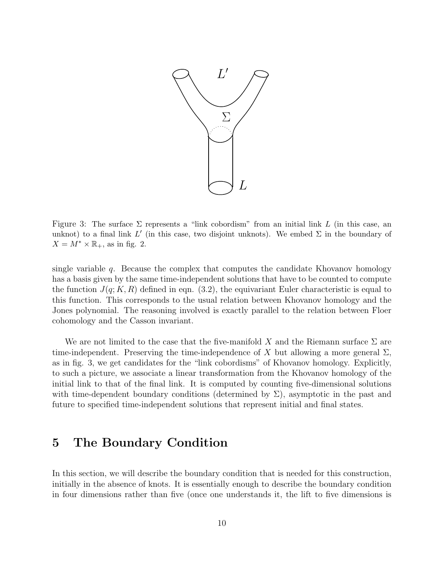

Figure 3: The surface  $\Sigma$  represents a "link cobordism" from an initial link L (in this case, an unknot) to a final link  $L'$  (in this case, two disjoint unknots). We embed  $\Sigma$  in the boundary of  $X = M^* \times \mathbb{R}_+$ , as in fig. 2.

single variable  $q$ . Because the complex that computes the candidate Khovanov homology has a basis given by the same time-independent solutions that have to be counted to compute the function  $J(q; K, R)$  defined in eqn. (3.2), the equivariant Euler characteristic is equal to this function. This corresponds to the usual relation between Khovanov homology and the Jones polynomial. The reasoning involved is exactly parallel to the relation between Floer cohomology and the Casson invariant.

We are not limited to the case that the five-manifold X and the Riemann surface  $\Sigma$  are time-independent. Preserving the time-independence of X but allowing a more general  $\Sigma$ . as in fig. 3, we get candidates for the "link cobordisms" of Khovanov homology. Explicitly, to such a picture, we associate a linear transformation from the Khovanov homology of the initial link to that of the final link. It is computed by counting five-dimensional solutions with time-dependent boundary conditions (determined by  $\Sigma$ ), asymptotic in the past and future to specified time-independent solutions that represent initial and final states.

### 5 The Boundary Condition

In this section, we will describe the boundary condition that is needed for this construction, initially in the absence of knots. It is essentially enough to describe the boundary condition in four dimensions rather than five (once one understands it, the lift to five dimensions is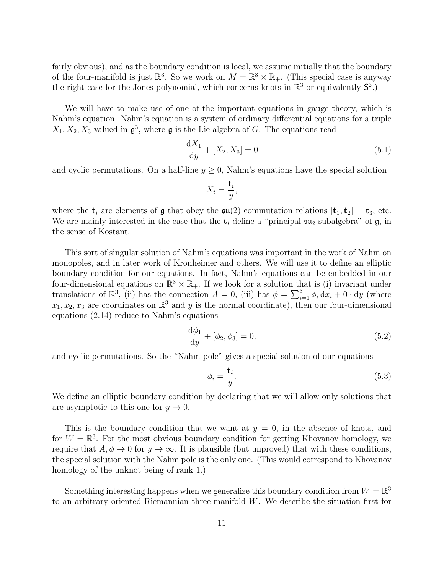fairly obvious), and as the boundary condition is local, we assume initially that the boundary of the four-manifold is just  $\mathbb{R}^3$ . So we work on  $M = \mathbb{R}^3 \times \mathbb{R}_+$ . (This special case is anyway the right case for the Jones polynomial, which concerns knots in  $\mathbb{R}^3$  or equivalently  $S^3$ .)

We will have to make use of one of the important equations in gauge theory, which is Nahm's equation. Nahm's equation is a system of ordinary differential equations for a triple  $X_1, X_2, X_3$  valued in  $\mathfrak{g}^3$ , where  $\mathfrak g$  is the Lie algebra of G. The equations read

$$
\frac{dX_1}{dy} + [X_2, X_3] = 0\tag{5.1}
$$

and cyclic permutations. On a half-line  $y \geq 0$ , Nahm's equations have the special solution

$$
X_i = \frac{\mathbf{t}_i}{y},
$$

where the  $t_i$  are elements of g that obey the  $\mathfrak{su}(2)$  commutation relations  $[t_1, t_2] = t_3$ , etc. We are mainly interested in the case that the  $t_i$  define a "principal  $\mathfrak{su}_2$  subalgebra" of  $\mathfrak{g}$ , in the sense of Kostant.

This sort of singular solution of Nahm's equations was important in the work of Nahm on monopoles, and in later work of Kronheimer and others. We will use it to define an elliptic boundary condition for our equations. In fact, Nahm's equations can be embedded in our four-dimensional equations on  $\mathbb{R}^3 \times \mathbb{R}_+$ . If we look for a solution that is (i) invariant under translations of  $\mathbb{R}^3$ , (ii) has the connection  $A = 0$ , (iii) has  $\phi = \sum_{i=1}^3 \phi_i dx_i + 0 \cdot dy$  (where  $x_1, x_2, x_3$  are coordinates on  $\mathbb{R}^3$  and y is the normal coordinate), then our four-dimensional equations (2.14) reduce to Nahm's equations

$$
\frac{d\phi_1}{dy} + [\phi_2, \phi_3] = 0,\t(5.2)
$$

and cyclic permutations. So the "Nahm pole" gives a special solution of our equations

$$
\phi_i = \frac{\mathbf{t}_i}{y}.\tag{5.3}
$$

We define an elliptic boundary condition by declaring that we will allow only solutions that are asymptotic to this one for  $y \to 0$ .

This is the boundary condition that we want at  $y = 0$ , in the absence of knots, and for  $W = \mathbb{R}^3$ . For the most obvious boundary condition for getting Khovanov homology, we require that  $A, \phi \rightarrow 0$  for  $y \rightarrow \infty$ . It is plausible (but unproved) that with these conditions, the special solution with the Nahm pole is the only one. (This would correspond to Khovanov homology of the unknot being of rank 1.)

Something interesting happens when we generalize this boundary condition from  $W = \mathbb{R}^3$ to an arbitrary oriented Riemannian three-manifold W. We describe the situation first for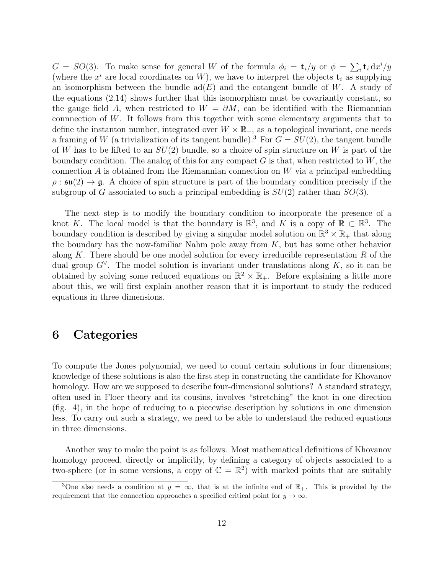$G = SO(3)$ . To make sense for general W of the formula  $\phi_i = \mathbf{t}_i/y$  or  $\phi = \sum_i \mathbf{t}_i dx^i/y$ (where the  $x^i$  are local coordinates on W), we have to interpret the objects  $\mathbf{t}_i$  as supplying an isomorphism between the bundle  $\text{ad}(E)$  and the cotangent bundle of W. A study of the equations (2.14) shows further that this isomorphism must be covariantly constant, so the gauge field A, when restricted to  $W = \partial M$ , can be identified with the Riemannian connnection of  $W$ . It follows from this together with some elementary arguments that to define the instanton number, integrated over  $W \times \mathbb{R}_+$ , as a topological invariant, one needs a framing of W (a trivialization of its tangent bundle).<sup>3</sup> For  $G = SU(2)$ , the tangent bundle of W has to be lifted to an  $SU(2)$  bundle, so a choice of spin structure on W is part of the boundary condition. The analog of this for any compact  $G$  is that, when restricted to  $W$ , the connection  $A$  is obtained from the Riemannian connection on  $W$  via a principal embedding  $\rho : \mathfrak{su}(2) \to \mathfrak{g}$ . A choice of spin structure is part of the boundary condition precisely if the subgroup of G associated to such a principal embedding is  $SU(2)$  rather than  $SO(3)$ .

The next step is to modify the boundary condition to incorporate the presence of a knot K. The local model is that the boundary is  $\mathbb{R}^3$ , and K is a copy of  $\mathbb{R} \subset \mathbb{R}^3$ . The boundary condition is described by giving a singular model solution on  $\mathbb{R}^3 \times \mathbb{R}_+$  that along the boundary has the now-familiar Nahm pole away from  $K$ , but has some other behavior along K. There should be one model solution for every irreducible representation  $R$  of the dual group  $G^{\vee}$ . The model solution is invariant under translations along K, so it can be obtained by solving some reduced equations on  $\mathbb{R}^2 \times \mathbb{R}_+$ . Before explaining a little more about this, we will first explain another reason that it is important to study the reduced equations in three dimensions.

#### 6 Categories

To compute the Jones polynomial, we need to count certain solutions in four dimensions; knowledge of these solutions is also the first step in constructing the candidate for Khovanov homology. How are we supposed to describe four-dimensional solutions? A standard strategy, often used in Floer theory and its cousins, involves "stretching" the knot in one direction (fig. 4), in the hope of reducing to a piecewise description by solutions in one dimension less. To carry out such a strategy, we need to be able to understand the reduced equations in three dimensions.

Another way to make the point is as follows. Most mathematical definitions of Khovanov homology proceed, directly or implicitly, by defining a category of objects associated to a two-sphere (or in some versions, a copy of  $\mathbb{C} = \mathbb{R}^2$ ) with marked points that are suitably

<sup>&</sup>lt;sup>3</sup>One also needs a condition at  $y = \infty$ , that is at the infinite end of  $\mathbb{R}_+$ . This is provided by the requirement that the connection approaches a specified critical point for  $y \to \infty$ .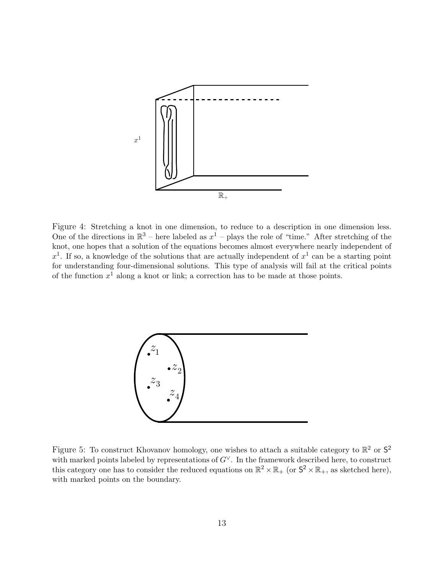

Figure 4: Stretching a knot in one dimension, to reduce to a description in one dimension less. One of the directions in  $\mathbb{R}^3$  – here labeled as  $x^1$  – plays the role of "time." After stretching of the knot, one hopes that a solution of the equations becomes almost everywhere nearly independent of  $x<sup>1</sup>$ . If so, a knowledge of the solutions that are actually independent of  $x<sup>1</sup>$  can be a starting point for understanding four-dimensional solutions. This type of analysis will fail at the critical points of the function  $x^1$  along a knot or link; a correction has to be made at those points.



Figure 5: To construct Khovanov homology, one wishes to attach a suitable category to  $\mathbb{R}^2$  or  $\mathsf{S}^2$ with marked points labeled by representations of  $G^{\vee}$ . In the framework described here, to construct this category one has to consider the reduced equations on  $\mathbb{R}^2 \times \mathbb{R}_+$  (or  $\mathsf{S}^2 \times \mathbb{R}_+$ , as sketched here), with marked points on the boundary.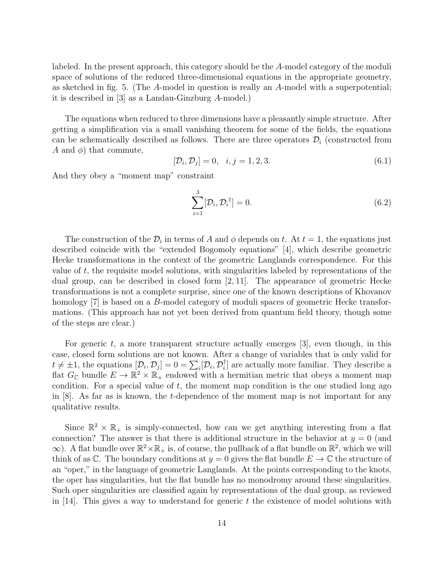labeled. In the present approach, this category should be the A-model category of the moduli space of solutions of the reduced three-dimensional equations in the appropriate geometry, as sketched in fig. 5. (The A-model in question is really an A-model with a superpotential; it is described in [3] as a Landau-Ginzburg A-model.)

The equations when reduced to three dimensions have a pleasantly simple structure. After getting a simplification via a small vanishing theorem for some of the fields, the equations can be schematically described as follows. There are three operators  $\mathcal{D}_i$  (constructed from A and  $\phi$ ) that commute,

$$
[\mathcal{D}_i, \mathcal{D}_j] = 0, \quad i, j = 1, 2, 3. \tag{6.1}
$$

And they obey a "moment map" constraint

$$
\sum_{i=1}^{3} [\mathcal{D}_i, \mathcal{D}_i^{\dagger}] = 0. \tag{6.2}
$$

The construction of the  $\mathcal{D}_i$  in terms of A and  $\phi$  depends on t. At  $t = 1$ , the equations just described coincide with the "extended Bogomoly equations" [4], which describe geometric Hecke transformations in the context of the geometric Langlands correspondence. For this value of  $t$ , the requisite model solutions, with singularities labeled by representations of the dual group, can be described in closed form [2, 11]. The appearance of geometric Hecke transformations is not a complete surprise, since one of the known descriptions of Khovanov homology [7] is based on a B-model category of moduli spaces of geometric Hecke transformations. (This approach has not yet been derived from quantum field theory, though some of the steps are clear.)

For generic t, a more transparent structure actually emerges  $[3]$ , even though, in this case, closed form solutions are not known. After a change of variables that is only valid for  $t \neq \pm 1$ , the equations  $[D_i, D_j] = 0 = \sum_i [D_i, D_i]$  $_{i}^{\dagger}$  are actually more familiar. They describe a flat  $G_{\mathbb{C}}$  bundle  $E \to \mathbb{R}^2 \times \mathbb{R}_+$  endowed with a hermitian metric that obeys a moment map condition. For a special value of  $t$ , the moment map condition is the one studied long ago in [8]. As far as is known, the t-dependence of the moment map is not important for any qualitative results.

Since  $\mathbb{R}^2 \times \mathbb{R}_+$  is simply-connected, how can we get anything interesting from a flat connection? The answer is that there is additional structure in the behavior at  $y = 0$  (and  $\infty$ ). A flat bundle over  $\mathbb{R}^2 \times \mathbb{R}_+$  is, of course, the pullback of a flat bundle on  $\mathbb{R}^2$ , which we will think of as  $\mathbb{C}$ . The boundary conditions at  $y = 0$  gives the flat bundle  $E \to \mathbb{C}$  the structure of an "oper," in the language of geometric Langlands. At the points corresponding to the knots, the oper has singularities, but the flat bundle has no monodromy around these singularities. Such oper singularities are classified again by representations of the dual group, as reviewed in  $[14]$ . This gives a way to understand for generic t the existence of model solutions with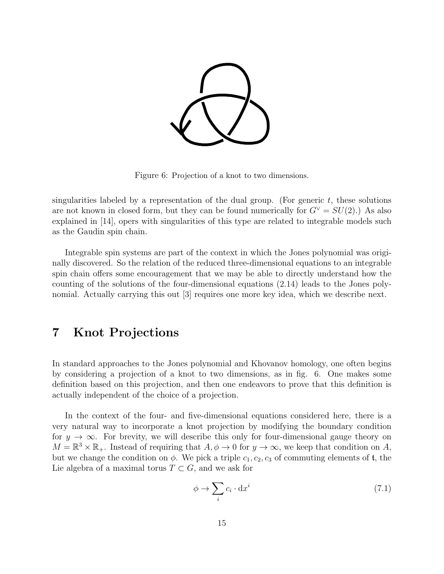

Figure 6: Projection of a knot to two dimensions.

singularities labeled by a representation of the dual group. (For generic  $t$ , these solutions are not known in closed form, but they can be found numerically for  $G^{\vee} = SU(2)$ .) As also explained in [14], opers with singularities of this type are related to integrable models such as the Gaudin spin chain.

Integrable spin systems are part of the context in which the Jones polynomial was originally discovered. So the relation of the reduced three-dimensional equations to an integrable spin chain offers some encouragement that we may be able to directly understand how the counting of the solutions of the four-dimensional equations (2.14) leads to the Jones polynomial. Actually carrying this out [3] requires one more key idea, which we describe next.

## 7 Knot Projections

In standard approaches to the Jones polynomial and Khovanov homology, one often begins by considering a projection of a knot to two dimensions, as in fig. 6. One makes some definition based on this projection, and then one endeavors to prove that this definition is actually independent of the choice of a projection.

In the context of the four- and five-dimensional equations considered here, there is a very natural way to incorporate a knot projection by modifying the boundary condition for  $y \to \infty$ . For brevity, we will describe this only for four-dimensional gauge theory on  $M = \mathbb{R}^3 \times \mathbb{R}_+$ . Instead of requiring that  $A, \phi \to 0$  for  $y \to \infty$ , we keep that condition on  $A$ , but we change the condition on  $\phi$ . We pick a triple  $c_1, c_2, c_3$  of commuting elements of t, the Lie algebra of a maximal torus  $T \subset G$ , and we ask for

$$
\phi \to \sum_i c_i \cdot \mathrm{d}x^i \tag{7.1}
$$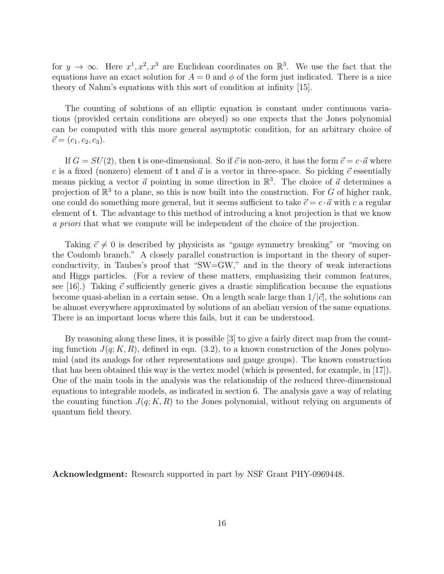for  $y \to \infty$ . Here  $x^1, x^2, x^3$  are Euclidean coordinates on  $\mathbb{R}^3$ . We use the fact that the equations have an exact solution for  $A = 0$  and  $\phi$  of the form just indicated. There is a nice theory of Nahm's equations with this sort of condition at infinity [15].

The counting of solutions of an elliptic equation is constant under continuous variations (provided certain conditions are obeyed) so one expects that the Jones polynomial can be computed with this more general asymptotic condition, for an arbitrary choice of  $\vec{c} = (c_1, c_2, c_3).$ 

If  $G = SU(2)$ , then t is one-dimensional. So if  $\vec{c}$  is non-zero, it has the form  $\vec{c} = c \cdot \vec{a}$  where c is a fixed (nonzero) element of t and  $\vec{a}$  is a vector in three-space. So picking  $\vec{c}$  essentially means picking a vector  $\vec{a}$  pointing in some direction in  $\mathbb{R}^3$ . The choice of  $\vec{a}$  determines a projection of  $\mathbb{R}^3$  to a plane, so this is now built into the construction. For G of higher rank, one could do something more general, but it seems sufficient to take  $\vec{c} = c \cdot \vec{a}$  with c a regular element of t. The advantage to this method of introducing a knot projection is that we know a priori that what we compute will be independent of the choice of the projection.

Taking  $\vec{c} \neq 0$  is described by physicists as "gauge symmetry breaking" or "moving on the Coulomb branch." A closely parallel construction is important in the theory of superconductivity, in Taubes's proof that "SW=GW," and in the theory of weak interactions and Higgs particles. (For a review of these matters, emphasizing their common features, see [16].) Taking  $\vec{c}$  sufficiently generic gives a drastic simplification because the equations become quasi-abelian in a certain sense. On a length scale large than  $1/|\vec{c}|$ , the solutions can be almost everywhere approximated by solutions of an abelian version of the same equations. There is an important locus where this fails, but it can be understood.

By reasoning along these lines, it is possible [3] to give a fairly direct map from the counting function  $J(q; K, R)$ , defined in eqn. (3.2), to a known construction of the Jones polynomial (and its analogs for other representations and gauge groups). The known construction that has been obtained this way is the vertex model (which is presented, for example, in [17]). One of the main tools in the analysis was the relationship of the reduced three-dimensional equations to integrable models, as indicated in section 6. The analysis gave a way of relating the counting function  $J(q; K, R)$  to the Jones polynomial, without relying on arguments of quantum field theory.

Acknowledgment: Research supported in part by NSF Grant PHY-0969448.